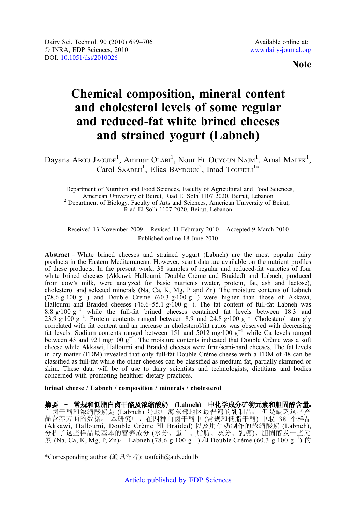Note

# Chemical composition, mineral content and cholesterol levels of some regular and reduced-fat white brined cheeses and strained yogurt (Labneh)

Dayana Abou Jaoude<sup>1</sup>, Ammar Olabi<sup>1</sup>, Nour El Ouyoun Nam<sup>1</sup>, Amal Malek<sup>1</sup>, Carol SAADEH<sup>1</sup>, Elias BAYDOUN<sup>2</sup>, Imad TOUFEILI<sup>1\*</sup>

<sup>1</sup> Department of Nutrition and Food Sciences, Faculty of Agricultural and Food Sciences, American University of Beirut, Riad El Solh 1107 2020, Beirut, Lebanon  $2$  Department of Biology, Faculty of Arts and Sciences, American University of Beirut, Riad El Solh 1107 2020, Beirut, Lebanon

Received 13 November 2009 – Revised 11 February 2010 – Accepted 9 March 2010 Published online 18 June 2010

Abstract – White brined cheeses and strained yogurt (Labneh) are the most popular dairy products in the Eastern Mediterranean. However, scant data are available on the nutrient profiles of these products. In the present work, 38 samples of regular and reduced-fat varieties of four white brined cheeses (Akkawi, Halloumi, Double Crème and Braided) and Labneh, produced from cow's milk, were analyzed for basic nutrients (water, protein, fat, ash and lactose), cholesterol and selected minerals (Na, Ca, K, Mg, P and Zn). The moisture contents of Labneh (78.6 g·100 g<sup>-1</sup>) and Double Crème (60.3 g·100 g<sup>-1</sup>) were higher than those of Akkawi, Halloumi and Braided cheeses (46.6–55.1 g·100 g<sup>-1</sup>). The fat content of full-fat Labneh was 8.8 g·100 g<sup>-1</sup> while the full-fat brin 23.9 g·100 g<sup>-1</sup>. Protein contents ranged between 8.9 and 24.8 g·100 g<sup>-1</sup>. Cholesterol strongly correlated with fat content and an increase in cholesterol/fat ratios was observed with decreasing fat levels. Sodium contents ranged between 151 and 5012 mg·100 g−<sup>1</sup> while Ca levels ranged between 43 and 921 mg·100 g<sup>-1</sup>. The moisture contents indicated that Double Crème was a soft cheese while Akkawi, Halloumi and Braided cheeses were firm/semi-hard cheeses. The fat levels in dry matter (FDM) revealed that only full-fat Double Crème cheese with a FDM of 48 can be classified as full-fat while the other cheeses can be classified as medium fat, partially skimmed or skim. These data will be of use to dairy scientists and technologists, dietitians and bodies concerned with promoting healthier dietary practices.

brined cheese / Labneh / composition / minerals / cholesterol

摘要 - 常规和低脂白卤干酪及浓缩酸奶 (Labneh) 中化学成分矿物元素和胆固醇含量。 白卤干酪和浓缩酸奶是 (Labneh) 是地中海东部地区最普遍的乳制品。 但是缺乏这些产 品营养方面的数据。本研究中, 在四种白卤干酪中 (常规和低脂干酪) 中取 38 个样品 (Akkawi, Halloumi, Double Crème 和 Braided) 以及用牛奶制作的浓缩酸奶 (Labneh), 分析了这些样品最基本的营养成分 (水分、蛋白、脂肪、灰分、乳糖)、胆固醇及一些元  $\frac{1}{2}$  (Na, Ca, K, Mg, P, Zn) Labneh (78.6 g·100 g<sup>-1</sup>) 和 Double Crème (60.3 g·100 g<sup>-1</sup>) 的

<sup>\*</sup>Corresponding author (通讯作者): toufeili@aub.edu.lb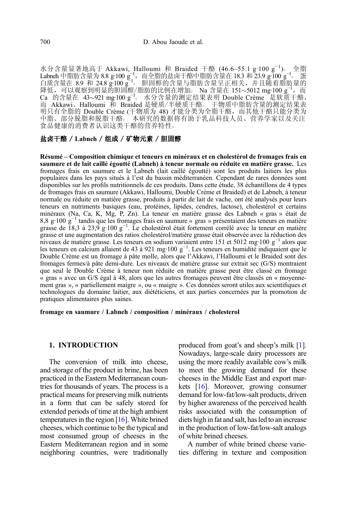水分含量显著地高于 Akkawi, Halloumi 和 Braided 干酪 (46.6–55.1 g·100 g<sup>−1</sup>)。 全脂 Labneh 中脂肪含量为 8.8 g·100 g<sup>−1</sup>,而全脂的盐卤干酪中脂肪含量在 18.3 和 23.9 g·100 g<sup>−1</sup>。 蛋<br>白质含量在 8.9 和 24.8 g·100 g<sup>−1</sup>。 胆固醇的含量与脂肪含量呈正相关,并且随着脂肪量的<br>降低,可以观察到明显的 胆固醇/脂肪的比例在增加○ Na 含量在 151~5012 mg·100 g<sup>−1</sup>, 而 Ca 的含量在 43~921 mg100 g<sup>-1</sup>。水分含量的测定结果表明 Double Crème 是软质干酪, 而 Akkawi、Halloumi 和 Braided 是硬质/半硬质干酪。 干物质中脂肪含量的测定结果表 明只有全脂的 Double Crème (干物质为 48) 才能分类为全脂干酪,而其他干酪只能分类为 中脂、部分脱脂和脱脂干酪○ 本研究的数据将有助于乳品科技人员、营养学家以及关注 食品健康的消费者认识这类干酪的营养特性。

## 盐卤干酪 / Labneh / 组成 / 矿物元素 / 胆固醇

Résumé – Composition chimique et teneurs en minéraux et en cholestérol de fromages frais en saumure et de lait caillé égoutté (Labneh) à teneur normale ou réduite en matière grasse. Les fromages frais en saumure et le Labneh (lait caillé égoutté) sont les produits laitiers les plus populaires dans les pays situés à l'est du bassin méditerranéen. Cependant de rares données sont disponibles sur les profils nutritionnels de ces produits. Dans cette étude, 38 échantillons de 4 types de fromages frais en saumure (Akkawi, Halloumi, Double Crème et Braided) et de Labneh, à teneur normale ou réduite en matière grasse, produits à partir de lait de vache, ont été analysés pour leurs teneurs en nutriments basiques (eau, protéines, lipides, cendres, lactose), cholestérol et certains minéraux (Na, Ca, K, Mg, P, Zn). La teneur en matière grasse des Labneh « gras » était de 8,8 g·100 g<sup>-1</sup> tandis que les fromages frais en saumure « gras » présentaient des teneurs en matière grasse de 18,3 à 23,9 g·100 g<sup>-1</sup>. Le cholestérol était fortement corrélé avec la teneur en matière grasse et une augmentation des ratios cholestérol/matière grasse était observée avec la réduction des niveaux de matière grasse. Les teneurs en sodium variaient entre 151 et 5012 mg·100 g−<sup>1</sup> alors que les teneurs en calcium allaient de 43 à 921 mg·100 g<sup>−1</sup>. Les teneurs en humidité indiquaient que le Double Crème est un fromage à pâte molle, alors que l'Akkawi, l'Halloumi et le Braided sont des fromages fermes/à pâte demi-dure. Les niveaux de matière grasse sur extrait sec (G/S) montraient que seul le Double Crème à teneur non réduite en matière grasse peut être classé en fromage « gras » avec un G/S égal à 48, alors que les autres fromages peuvent être classés en « moyennement gras », « partiellement maigre », ou « maigre ». Ces données seront utiles aux scientifiques et technologues du domaine laitier, aux diététiciens, et aux parties concernées par la promotion de pratiques alimentaires plus saines.

fromage en saumure / Labneh / composition / minéraux / cholesterol

## 1. INTRODUCTION

The conversion of milk into cheese, and storage of the product in brine, has been practiced in the Eastern Mediterranean countries for thousands of years. The process is a practical means for preserving milk nutrients in a form that can be safely stored for extended periods of time at the high ambient temperatures in the region [[16](#page-7-0)]. White brined cheeses, which continue to be the typical and most consumed group of cheeses in the Eastern Mediterranean region and in some neighboring countries, were traditionally produced from goat's and sheep's milk [\[1](#page-6-0)]. Nowadays, large-scale dairy processors are using the more readily available cow's milk to meet the growing demand for these cheeses in the Middle East and export markets [[16](#page-7-0)]. Moreover, growing consumer demand for low-fat/low-salt products, driven by higher awareness of the perceived health risks associated with the consumption of diets high in fat and salt, has led to an increase in the production of low-fat/low-salt analogs of white brined cheeses.

A number of white brined cheese varieties differing in texture and composition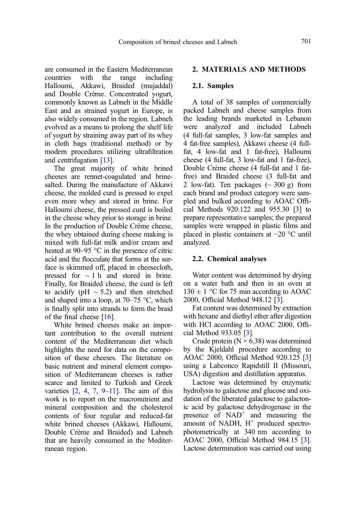are consumed in the Eastern Mediterranean<br>countries with the range including countries with the range including Halloumi, Akkawi, Braided (mujaddal) and Double Crème. Concentrated yogurt, commonly known as Labneh in the Middle East and as strained yogurt in Europe, is also widely consumed in the region. Labneh evolved as a means to prolong the shelf life of yogurt by straining away part of its whey in cloth bags (traditional method) or by modern procedures utilizing ultrafiltration and centrifugation [[13](#page-7-0)].

The great majority of white brined cheeses are rennet-coagulated and brinesalted. During the manufacture of Akkawi cheese, the molded curd is pressed to expel even more whey and stored in brine. For Halloumi cheese, the pressed curd is boiled in the cheese whey prior to storage in brine. In the production of Double Crème cheese, the whey obtained during cheese making is mixed with full-fat milk and/or cream and heated at 90–95 °C in the presence of citric acid and the flocculate that forms at the surface is skimmed off, placed in cheesecloth, pressed for  $\sim$  1 h and stored in brine. Finally, for Braided cheese, the curd is left to acidify ( $pH \sim 5.2$ ) and then stretched and shaped into a loop, at  $70-75$  °C, which is finally split into strands to form the braid of the final cheese [\[16\]](#page-7-0).

White brined cheeses make an important contribution to the overall nutrient content of the Mediterranean diet which highlights the need for data on the composition of these cheeses. The literature on basic nutrient and mineral element composition of Mediterranean cheeses is rather scarce and limited to Turkish and Greek varieties  $[2, 4, 7, 9-11]$  $[2, 4, 7, 9-11]$  $[2, 4, 7, 9-11]$  $[2, 4, 7, 9-11]$  $[2, 4, 7, 9-11]$  $[2, 4, 7, 9-11]$  $[2, 4, 7, 9-11]$  $[2, 4, 7, 9-11]$  $[2, 4, 7, 9-11]$  $[2, 4, 7, 9-11]$ . The aim of this work is to report on the macronutrient and mineral composition and the cholesterol contents of four regular and reduced-fat white brined cheeses (Akkawi, Halloumi, Double Crème and Braided) and Labneh that are heavily consumed in the Mediterranean region.

## 2. MATERIALS AND METHODS

#### 2.1. Samples

A total of 38 samples of commercially packed Labneh and cheese samples from the leading brands marketed in Lebanon were analyzed and included Labneh (4 full-fat samples, 3 low-fat samples and 4 fat-free samples), Akkawi cheese (4 fullfat, 4 low-fat and 1 fat-free), Halloumi cheese (4 full-fat, 3 low-fat and 1 fat-free), Double Crème cheese (4 full-fat and 1 fatfree) and Braided cheese (3 full-fat and 2 low-fat). Ten packages  $({\sim}300 \text{ g})$  from each brand and product category were sampled and bulked according to AOAC Official Methods 920.122 and 955.30 [\[3\]](#page-6-0) to prepare representative samples; the prepared samples were wrapped in plastic films and placed in plastic containers at −20 °C until analyzed.

#### 2.2. Chemical analyses

Water content was determined by drying on a water bath and then in an oven at  $130 \pm 1$  °C for 75 min according to AOAC 2000, Official Method 948.12 [[3](#page-6-0)].

Fat content was determined by extraction with hexane and diethyl ether after digestion with HCl according to AOAC 2000, Official Method 933.05 [\[3\]](#page-6-0).

Crude protein ( $N \times 6.38$ ) was determined by the Kjeldahl procedure according to AOAC 2000, Official Method 920.125 [[3\]](#page-6-0) using a Labconco Rapidstill II (Missouri, USA) digestion and distillation apparatus.

Lactose was determined by enzymatic hydrolysis to galactose and glucose and oxidation of the liberated galactose to galactonic acid by galactose dehydrogenase in the presence of  $NAD<sup>+</sup>$  and measuring the amount of NADH,  $H^+$  produced spectrophotometrically at 340 nm according to AOAC 2000, Official Method 984.15 [\[3](#page-6-0)]. Lactose determination was carried out using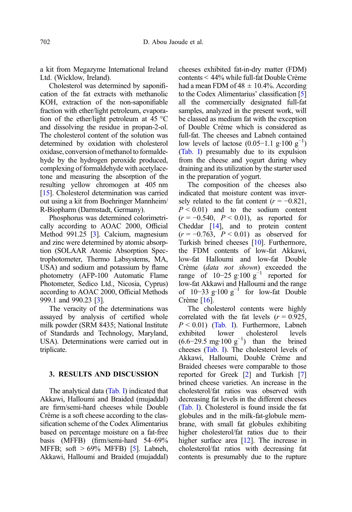a kit from Megazyme International Ireland Ltd. (Wicklow, Ireland).

Cholesterol was determined by saponification of the fat extracts with methanolic KOH, extraction of the non-saponifiable fraction with ether/light petroleum, evaporation of the ether/light petroleum at 45 °C and dissolving the residue in propan-2-ol. The cholesterol content of the solution was determined by oxidation with cholesterol oxidase, conversion ofmethanol to formaldehyde by the hydrogen peroxide produced, complexing of formaldehyde with acetylacetone and measuring the absorption of the resulting yellow chromogen at 405 nm [\[15](#page-7-0)]. Cholesterol determination was carried out using a kit from Boehringer Mannheim/ R-Biopharm (Darmstadt, Germany).

Phosphorus was determined colorimetrically according to AOAC 2000, Official Method 991.25 [\[3](#page-6-0)]. Calcium, magnesium and zinc were determined by atomic absorption (SOLAAR Atomic Absorption Spectrophotometer, Thermo Labsystems, MA, USA) and sodium and potassium by flame photometry (AFP-100 Automatic Flame Photometer, Sedico Ltd., Nicosia, Cyprus) according to AOAC 2000, Official Methods 999.1 and 990.23 [[3](#page-6-0)].

The veracity of the determinations was assayed by analysis of certified whole milk powder (SRM 8435; National Institute of Standards and Technology, Maryland, USA). Determinations were carried out in triplicate.

## 3. RESULTS AND DISCUSSION

The analytical data ([Tab. I\)](#page-4-0) indicated that Akkawi, Halloumi and Braided (mujaddal) are firm/semi-hard cheeses while Double Crème is a soft cheese according to the classification scheme of the Codex Alimentarius based on percentage moisture on a fat-free basis (MFFB) (firm/semi-hard 54–69% MFFB; soft  $> 69\%$  MFFB) [\[5](#page-6-0)]. Labneh, Akkawi, Halloumi and Braided (mujaddal) cheeses exhibited fat-in-dry matter (FDM) contents < 44% while full-fat Double Crème had a mean FDM of  $48 \pm 10.4\%$ . According to the Codex Alimentarius' classification [[5](#page-6-0)] all the commercially designated full-fat samples, analyzed in the present work, will be classed as medium fat with the exception of Double Crème which is considered as full-fat. The cheeses and Labneh contained low levels of lactose  $(0.05-1.1 \text{ g} \cdot 100 \text{ g}^{-1})$ ([Tab. I\)](#page-4-0) presumably due to its expulsion from the cheese and yogurt during whey draining and its utilization by the starter used in the preparation of yogurt.

The composition of the cheeses also indicated that moisture content was inversely related to the fat content  $(r = -0.821)$ ,  $P < 0.01$ ) and to the sodium content  $(r = -0.540, P < 0.01)$ , as reported for Cheddar [[14](#page-7-0)], and to protein content  $(r = -0.763, P \le 0.01)$  as observed for Turkish brined cheeses [[10](#page-7-0)]. Furthermore, the FDM contents of low-fat Akkawi, low-fat Halloumi and low-fat Double Crème (data not shown) exceeded the range of 10−25 g·100  $g^{-1}$  reported for low-fat Akkawi and Halloumi and the range of  $10-33$  g·100 g<sup>-1</sup> for low-fat Double Crème [[16](#page-7-0)].

The cholesterol contents were highly correlated with the fat levels  $(r = 0.925,$  $P < 0.01$ ) ([Tab. I\)](#page-4-0). Furthermore, Labneh exhibited lower cholesterol levels  $(6.6-29.5 \text{ mg} \cdot 100 \text{ g}^{-1})$  than the brined cheeses [\(Tab. I](#page-4-0)). The cholesterol levels of Akkawi, Halloumi, Double Crème and Braided cheeses were comparable to those reported for Greek [\[2\]](#page-6-0) and Turkish [[7](#page-6-0)] brined cheese varieties. An increase in the cholesterol/fat ratios was observed with decreasing fat levels in the different cheeses ([Tab. I\)](#page-4-0). Cholesterol is found inside the fat globules and in the milk-fat-globule membrane, with small fat globules exhibiting higher cholesterol/fat ratios due to their higher surface area [[12](#page-7-0)]. The increase in cholesterol/fat ratios with decreasing fat contents is presumably due to the rupture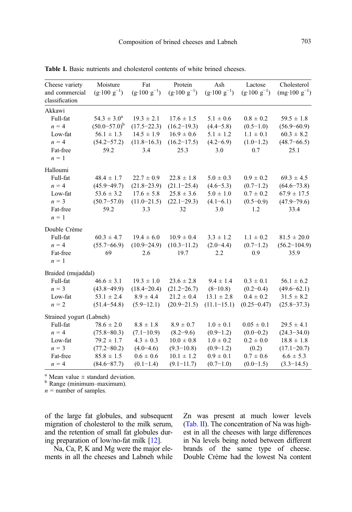| Cheese variety                   | Moisture                       | Fat                            | Protein                        | Ash                            | Lactose                        | Cholesterol                     |
|----------------------------------|--------------------------------|--------------------------------|--------------------------------|--------------------------------|--------------------------------|---------------------------------|
| and commercial<br>classification | $(g \cdot 100 \text{ g}^{-1})$ | $(g \cdot 100 \text{ g}^{-1})$ | $(g \cdot 100 \text{ g}^{-1})$ | $(g \cdot 100 \text{ g}^{-1})$ | $(g \cdot 100 \text{ g}^{-1})$ | $(mg \cdot 100 \text{ g}^{-1})$ |
| Akkawi                           |                                |                                |                                |                                |                                |                                 |
| Full-fat                         | $54.3 \pm 3.0^a$               | $19.3 \pm 2.1$                 | $17.6 \pm 1.5$                 | $5.1 \pm 0.6$                  | $0.8 \pm 0.2$                  | $59.5 \pm 1.8$                  |
| $n = 4$                          | $(50.0 - 57.0)^b$              | $(17.5 - 22.3)$                | $(16.2 - 19.3)$                | $(4.4 - 5.8)$                  | $(0.5-1.0)$                    | $(56.9 - 60.9)$                 |
| Low-fat                          | $56.1 \pm 1.3$                 | $14.5 \pm 1.9$                 | $16.9 \pm 0.6$                 | $5.1 \pm 1.2$                  | $1.1 \pm 0.1$                  | $60.3 \pm 8.2$                  |
| $n = 4$                          | $(54.2 - 57.2)$                | $(11.8 - 16.3)$                | $(16.2 - 17.5)$                | $(4.2 - 6.9)$                  | $(1.0-1.2)$                    | $(48.7 - 66.5)$                 |
| Fat-free<br>$n = 1$              | 59.2                           | 3.4                            | 25.3                           | 3.0                            | 0.7                            | 25.1                            |
| Halloumi                         |                                |                                |                                |                                |                                |                                 |
| Full-fat                         | $48.4 \pm 1.7$                 | $22.7 \pm 0.9$                 | $22.8 \pm 1.8$                 | $5.0 \pm 0.3$                  | $0.9 \pm 0.2$                  | $69.3 \pm 4.5$                  |
| $n = 4$                          | $(45.9 - 49.7)$                | $(21.8 - 23.9)$                | $(21.1 - 25.4)$                | $(4.6 - 5.3)$                  | $(0.7-1.2)$                    | $(64.6 - 73.8)$                 |
| Low-fat                          | $53.6 \pm 3.2$                 | $17.6 \pm 5.8$                 | $25.8 \pm 3.6$                 | $5.0 \pm 1.0$                  | $0.7 \pm 0.2$                  | $67.9$ $\pm$ $17.5$             |
| $n = 3$                          | $(50.7 - 57.0)$                | $(11.0 - 21.5)$                | $(22.1 - 29.3)$                | $(4.1 - 6.1)$                  | $(0.5-0.9)$                    | $(47.9 - 79.6)$                 |
| Fat-free                         | 59.2                           | 3.3                            | 32                             | 3.0                            | 1.2                            | 33.4                            |
| $n = 1$                          |                                |                                |                                |                                |                                |                                 |
| Double Crème                     |                                |                                |                                |                                |                                |                                 |
| Full-fat                         | $60.3 \pm 4.7$                 | $19.4 \pm 6.0$                 | $10.9 \pm 0.4$                 | $3.3 \pm 1.2$                  | $1.1 \pm 0.2$                  | $81.5 \pm 20.0$                 |
| $n = 4$                          | $(55.7 - 66.9)$                | $(10.9 - 24.9)$                | $(10.3 - 11.2)$                | $(2.0 - 4.4)$                  | $(0.7-1.2)$                    | $(56.2 - 104.9)$                |
| Fat-free                         | 69                             | 2.6                            | 19.7                           | 2.2                            | 0.9                            | 35.9                            |
| $n = 1$                          |                                |                                |                                |                                |                                |                                 |
| Braided (mujaddal)               |                                |                                |                                |                                |                                |                                 |
| Full-fat                         | $46.6 \pm 3.1$                 | $19.3 \pm 1.0$                 | $23.6 \pm 2.8$                 | $9.4 \pm 1.4$                  | $0.3 \pm 0.1$                  | $56.1 \pm 6.2$                  |
| $n = 3$                          | $(43.8 - 49.9)$                | $(18.4 - 20.4)$                | $(21.2 - 26.7)$                | $(8-10.8)$                     | $(0.2 - 0.4)$                  | $(49.6 - 62.1)$                 |
| Low-fat                          | $53.1 \pm 2.4$                 | $8.9 \pm 4.4$                  | $21.2 \pm 0.4$                 | $13.1 \pm 2.8$                 | $0.4 \pm 0.2$                  | $31.5 \pm 8.2$                  |
| $n = 2$                          | $(51.4 - 54.8)$                | $(5.9 - 12.1)$                 | $(20.9 - 21.5)$                | $(11.1 - 15.1)$                | $(0.25 - 0.47)$                | $(25.8 - 37.3)$                 |
| Strained yogurt (Labneh)         |                                |                                |                                |                                |                                |                                 |
| Full-fat                         | $78.6 \pm 2.0$                 | $8.8 \pm 1.8$                  | $8.9 \pm 0.7$                  | $1.0 \pm 0.1$                  | $0.05 \pm 0.1$                 | $29.5 \pm 4.1$                  |
| $n = 4$                          | $(75.8 - 80.3)$                | $(7.1 - 10.9)$                 | $(8.2 - 9.6)$                  | $(0.9-1.2)$                    | $(0.0 - 0.2)$                  | $(24.3 - 34.0)$                 |
| Low-fat                          | $79.2 \pm 1.7$                 | $4.3 \pm 0.3$                  | $10.0 \pm 0.8$                 | $1.0 \pm 0.2$                  | $0.2 \pm 0.0$                  | $18.8 \pm 1.8$                  |
| $n = 3$                          | $(77.2 - 80.2)$                | $(4.0 - 4.6)$                  | $(9.3 - 10.8)$                 | $(0.9-1.2)$                    | (0.2)                          | $(17.1 - 20.7)$                 |
| Fat-free                         | $85.8 \pm 1.5$                 | $0.6 \pm 0.6$                  | $10.1 \pm 1.2$                 | $0.9 \pm 0.1$                  | $0.7 \pm 0.6$                  | $6.6 \pm 5.3$                   |
| $n = 4$                          | $(84.6 - 87.7)$                | $(0.1-1.4)$                    | $(9.1 - 11.7)$                 | $(0.7 - 1.0)$                  | $(0.0-1.5)$                    | $(3.3 - 14.5)$                  |

<span id="page-4-0"></span>Table I. Basic nutrients and cholesterol contents of white brined cheeses.

<sup>a</sup> Mean value  $\pm$  standard deviation.<br><sup>b</sup> Range (minimum–maximum).

 $n =$  number of samples.

of the large fat globules, and subsequent migration of cholesterol to the milk serum, and the retention of small fat globules during preparation of low/no-fat milk [\[12\]](#page-7-0).

Na, Ca, P, K and Mg were the major elements in all the cheeses and Labneh while Zn was present at much lower levels ([Tab. II](#page-5-0)). The concentration of Na was highest in all the cheeses with large differences in Na levels being noted between different brands of the same type of cheese. Double Crème had the lowest Na content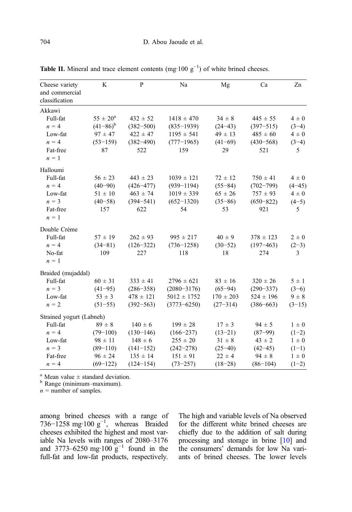| Cheese variety                   | K                   | P             | Na              | Mg            | Ca            | Zn             |
|----------------------------------|---------------------|---------------|-----------------|---------------|---------------|----------------|
| and commercial<br>classification |                     |               |                 |               |               |                |
| Akkawi                           |                     |               |                 |               |               |                |
| Full-fat                         | $55 \pm 20^{\rm a}$ | $432 \pm 52$  | $1418 \pm 470$  | $34 \pm 8$    | $445 \pm 55$  | $4\pm0$        |
| $n = 4$                          | $(41-86)^{b}$       | $(382 - 500)$ | $(835 - 1939)$  | $(24-43)$     | $(397 - 515)$ | $(3-4)$        |
| Low-fat                          | $97 \pm 47$         | $422 \pm 47$  | $1195 \pm 541$  | $49 \pm 13$   | $485 \pm 60$  | $4\pm0$        |
| $n = 4$                          | $(53-159)$          | $(382 - 490)$ | $(777-1965)$    | $(41-69)$     | $(430 - 568)$ | $(3-4)$        |
| Fat-free                         | 87                  | 522           | 159             | 29            | 521           | 5              |
| $n = 1$                          |                     |               |                 |               |               |                |
| Halloumi                         |                     |               |                 |               |               |                |
| Full-fat                         | $56 \pm 23$         | $443 \pm 23$  | $1039 \pm 121$  | $72 \pm 12$   | $750 \pm 41$  | $4\pm0$        |
| $n = 4$                          | $(40 - 90)$         | $(426 - 477)$ | $(939 - 1194)$  | $(55 - 84)$   | $(702 - 799)$ | $(4 - 45)$     |
| Low-fat                          | $51 \pm 10$         | $463 \pm 74$  | $1019 \pm 339$  | $65 \pm 26$   | $757 \pm 93$  | $4\pm0$        |
| $n = 3$                          | $(40 - 58)$         | $(394 - 541)$ | $(652 - 1320)$  | $(35 - 86)$   | $(650 - 822)$ | $(4-5)$        |
| Fat-free                         | 157                 | 622           | 54              | 53            | 921           | 5              |
| $n = 1$                          |                     |               |                 |               |               |                |
| Double Crème                     |                     |               |                 |               |               |                |
| Full-fat                         | $57 \pm 19$         | $262 \pm 93$  | $995 \pm 217$   | $40 \pm 9$    | $378 \pm 123$ | $2 \pm 0$      |
| $n = 4$                          | $(34 - 81)$         | $(126 - 322)$ | $(736 - 1258)$  | $(30-52)$     | $(197 - 463)$ | $(2-3)$        |
| No-fat                           | 109                 | 227           | 118             | 18            | 274           | $\overline{3}$ |
| $n = 1$                          |                     |               |                 |               |               |                |
| Braided (mujaddal)               |                     |               |                 |               |               |                |
| Full-fat                         | $60 \pm 31$         | $333 \pm 41$  | $2796 \pm 621$  | $83 \pm 16$   | $320 \pm 26$  | $5 \pm 1$      |
| $n = 3$                          | $(41-95)$           | $(286 - 358)$ | $(2080 - 3176)$ | $(65 - 94)$   | $(290 - 337)$ | $(3-6)$        |
| Low-fat                          | $53 \pm 3$          | $478 \pm 121$ | $5012 \pm 1752$ | $170 \pm 203$ | $524 \pm 196$ | $9 \pm 8$      |
| $n = 2$                          | $(51-55)$           | $(392 - 563)$ | $(3773 - 6250)$ | $(27 - 314)$  | $(386 - 663)$ | $(3-15)$       |
| Strained yogurt (Labneh)         |                     |               |                 |               |               |                |
| Full-fat                         | $89 \pm 8$          | $140 \pm 6$   | $199 \pm 28$    | $17 \pm 3$    | $94 \pm 5$    | $1 \pm 0$      |
| $n = 4$                          | $(79-100)$          | $(130-146)$   | $(166 - 237)$   | $(13-21)$     | $(87 - 99)$   | $(1-2)$        |
| Low-fat                          | $98 \pm 11$         | $148 \pm 6$   | $255 \pm 20$    | $31 \pm 8$    | $43 \pm 2$    | $1 \pm 0$      |
| $n = 3$                          | $(89 - 110)$        | $(141-152)$   | $(242 - 278)$   | $(25 - 40)$   | $(42 - 45)$   | $(1-1)$        |
| Fat-free                         | $96 \pm 24$         | $135 \pm 14$  | $151 \pm 91$    | $22 \pm 4$    | $94 \pm 8$    | $1 \pm 0$      |
| $n = 4$                          | $(69-122)$          | $(124 - 154)$ | $(73 - 257)$    | $(18-28)$     | $(86-104)$    | $(1-2)$        |

<span id="page-5-0"></span>**Table II.** Mineral and trace element contents  $(mg \cdot 100 \text{ g}^{-1})$  of white brined cheeses.

<sup>a</sup> Mean value  $\pm$  standard deviation.<br><sup>b</sup> Range (minimum–maximum).

 $n =$  number of samples.

among brined cheeses with a range of 736–1258 mg·100  $g^{-1}$ , whereas Braided cheeses exhibited the highest and most variable Na levels with ranges of 2080–3176 and 3773–6250 mg·100  $g^{-1}$  found in the full-fat and low-fat products, respectively. The high and variable levels of Na observed for the different white brined cheeses are chiefly due to the addition of salt during processing and storage in brine [[10](#page-7-0)] and the consumers' demands for low Na variants of brined cheeses. The lower levels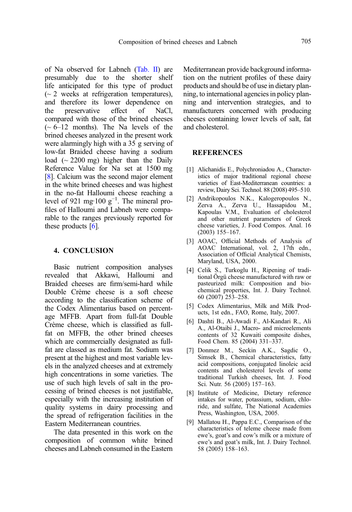<span id="page-6-0"></span>of Na observed for Labneh ([Tab. II\)](#page-5-0) are presumably due to the shorter shelf life anticipated for this type of product  $\sim$  2 weeks at refrigeration temperatures), and therefore its lower dependence on the preservative effect of NaCl, compared with those of the brined cheeses  $(-6-12 \text{ months})$ . The Na levels of the brined cheeses analyzed in the present work were alarmingly high with a 35 g serving of low-fat Braided cheese having a sodium load  $({\sim} 2200 \text{ mg})$  higher than the Daily Reference Value for Na set at 1500 mg [8]. Calcium was the second major element in the white brined cheeses and was highest in the no-fat Halloumi cheese reaching a level of 921 mg·100  $g^{-1}$ . The mineral profiles of Halloumi and Labneh were comparable to the ranges previously reported for these products  $[6]$ .

## 4. CONCLUSION

Basic nutrient composition analyses revealed that Akkawi, Halloumi and Braided cheeses are firm/semi-hard while Double Crème cheese is a soft cheese according to the classification scheme of the Codex Alimentarius based on percentage MFFB. Apart from full-fat Double Crème cheese, which is classified as fullfat on MFFB, the other brined cheeses which are commercially designated as fullfat are classed as medium fat. Sodium was present at the highest and most variable levels in the analyzed cheeses and at extremely high concentrations in some varieties. The use of such high levels of salt in the processing of brined cheeses is not justifiable, especially with the increasing institution of quality systems in dairy processing and the spread of refrigeration facilities in the Eastern Mediterranean countries.

The data presented in this work on the composition of common white brined cheeses and Labneh consumed in the Eastern Mediterranean provide background information on the nutrient profiles of these dairy products and should be of use in dietary planning, to international agencies in policy planning and intervention strategies, and to manufacturers concerned with producing cheeses containing lower levels of salt, fat and cholesterol.

## **REFERENCES**

- [1] Alichanidis E., Polychroniadou A., Characteristics of major traditional regional cheese varieties of East-Mediterranean countries: a review, Dairy Sci. Technol. 88 (2008) 495–510.
- [2] Andrikopoulos N.K., Kalogeropoulos N., Zerva A., Zerva U., Hassapidou M., Kapoulas V.M., Evaluation of cholesterol and other nutrient parameters of Greek cheese varieties, J. Food Compos. Anal. 16 (2003) 155–167.
- [3] AOAC, Official Methods of Analysis of AOAC International, vol. 2, 17th edn., Association of Official Analytical Chemists, Maryland, USA, 2000.
- [4] Celik S., Turkoglu H., Ripening of traditional Örgü cheese manufactured with raw or pasteurized milk: Composition and biochemical properties, Int. J. Dairy Technol. 60 (2007) 253–258.
- [5] Codex Alimentarius, Milk and Milk Products, 1st edn., FAO, Rome, Italy, 2007.
- [6] Dashti B., Al-Awadi F., Al-Kandari R., Ali A., Al-Otaibi J., Macro- and microelements contents of 32 Kuwaiti composite dishes, Food Chem. 85 (2004) 331–337.
- [7] Donmez M., Seckin A.K., Sagdic O., Simsek B., Chemical characteristics, fatty acid compositions, conjugated linoleic acid contents and cholesterol levels of some traditional Turkish cheeses, Int. J. Food Sci. Nutr. 56 (2005) 157–163.
- [8] Institute of Medicine, Dietary reference intakes for water, potassium, sodium, chloride, and sulfate, The National Academies Press, Washington, USA, 2005.
- [9] Mallatou H., Pappa E.C., Comparison of the characteristics of teleme cheese made from ewe's, goat's and cow's milk or a mixture of ewe's and goat's milk, Int. J. Dairy Technol. 58 (2005) 158–163.